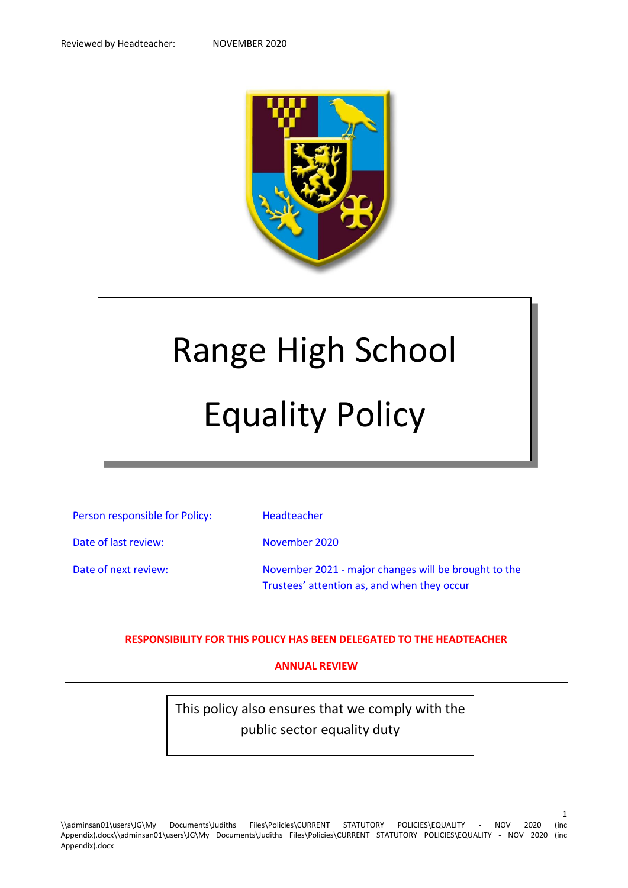

# Range High School Equality Policy

Person responsible for Policy: Headteacher

Date of last review: November 2020

Date of next review: November 2021 - major changes will be brought to the Trustees' attention as, and when they occur

1

**RESPONSIBILITY FOR THIS POLICY HAS BEEN DELEGATED TO THE HEADTEACHER**

# **ANNUAL REVIEW**

This policy also ensures that we comply with the public sector equality duty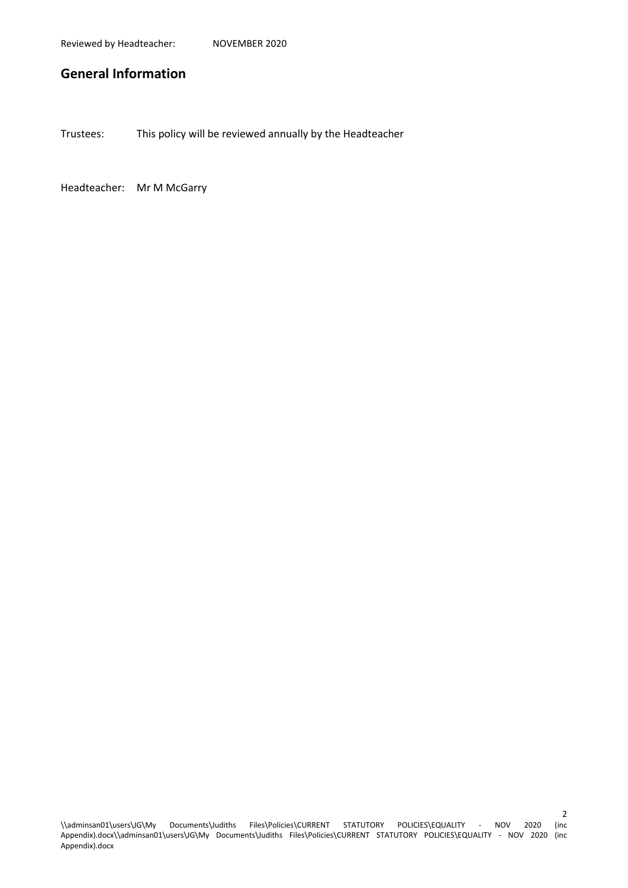# **General Information**

Trustees: This policy will be reviewed annually by the Headteacher

Headteacher: Mr M McGarry

\\adminsan01\users\JG\My Documents\Judiths Files\Policies\CURRENT STATUTORY POLICIES\EQUALITY - NOV 2020 (inc Appendix).docx\\adminsan01\users\JG\My Documents\Judiths Files\Policies\CURRENT STATUTORY POLICIES\EQUALITY - NOV 2020 (inc Appendix).docx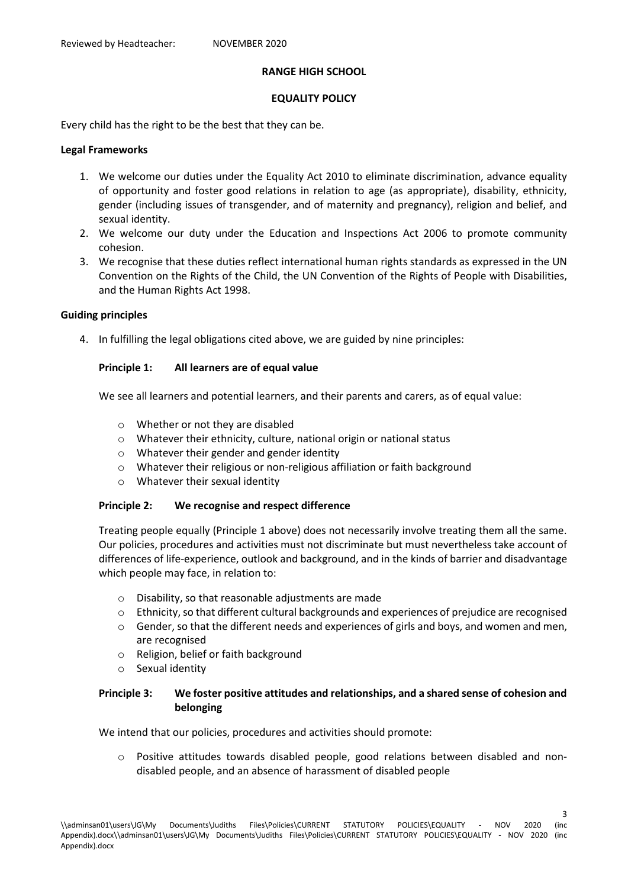### **RANGE HIGH SCHOOL**

### **EQUALITY POLICY**

Every child has the right to be the best that they can be.

### **Legal Frameworks**

- 1. We welcome our duties under the Equality Act 2010 to eliminate discrimination, advance equality of opportunity and foster good relations in relation to age (as appropriate), disability, ethnicity, gender (including issues of transgender, and of maternity and pregnancy), religion and belief, and sexual identity.
- 2. We welcome our duty under the Education and Inspections Act 2006 to promote community cohesion.
- 3. We recognise that these duties reflect international human rights standards as expressed in the UN Convention on the Rights of the Child, the UN Convention of the Rights of People with Disabilities, and the Human Rights Act 1998.

# **Guiding principles**

4. In fulfilling the legal obligations cited above, we are guided by nine principles:

# **Principle 1: All learners are of equal value**

We see all learners and potential learners, and their parents and carers, as of equal value:

- o Whether or not they are disabled
- o Whatever their ethnicity, culture, national origin or national status
- o Whatever their gender and gender identity
- o Whatever their religious or non-religious affiliation or faith background
- o Whatever their sexual identity

# **Principle 2: We recognise and respect difference**

Treating people equally (Principle 1 above) does not necessarily involve treating them all the same. Our policies, procedures and activities must not discriminate but must nevertheless take account of differences of life-experience, outlook and background, and in the kinds of barrier and disadvantage which people may face, in relation to:

- o Disability, so that reasonable adjustments are made
- o Ethnicity, so that different cultural backgrounds and experiences of prejudice are recognised
- o Gender, so that the different needs and experiences of girls and boys, and women and men, are recognised
- o Religion, belief or faith background
- o Sexual identity

# **Principle 3: We foster positive attitudes and relationships, and a shared sense of cohesion and belonging**

We intend that our policies, procedures and activities should promote:

 $\circ$  Positive attitudes towards disabled people, good relations between disabled and nondisabled people, and an absence of harassment of disabled people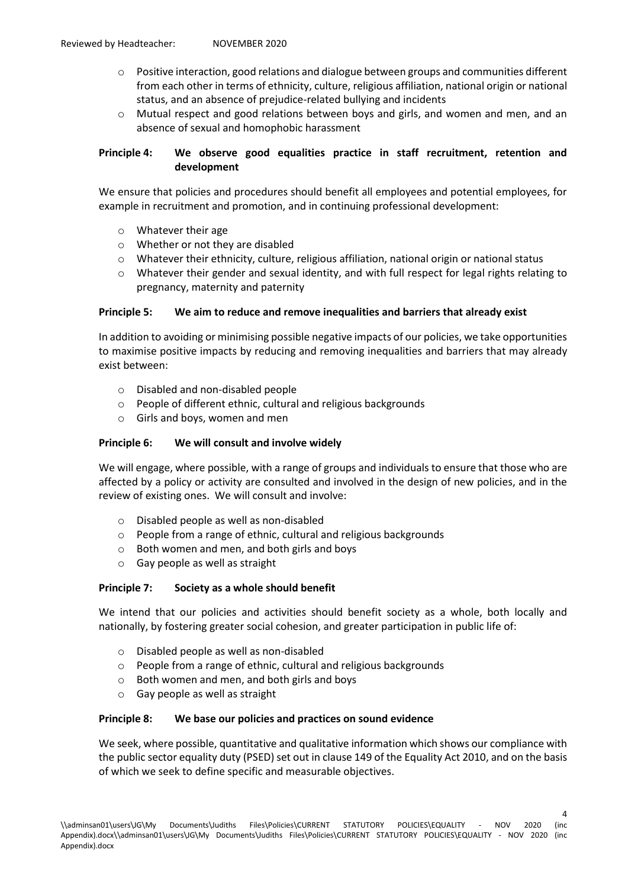- o Positive interaction, good relations and dialogue between groups and communities different from each other in terms of ethnicity, culture, religious affiliation, national origin or national status, and an absence of prejudice-related bullying and incidents
- o Mutual respect and good relations between boys and girls, and women and men, and an absence of sexual and homophobic harassment

# **Principle 4: We observe good equalities practice in staff recruitment, retention and development**

We ensure that policies and procedures should benefit all employees and potential employees, for example in recruitment and promotion, and in continuing professional development:

- o Whatever their age
- o Whether or not they are disabled
- o Whatever their ethnicity, culture, religious affiliation, national origin or national status
- o Whatever their gender and sexual identity, and with full respect for legal rights relating to pregnancy, maternity and paternity

# **Principle 5: We aim to reduce and remove inequalities and barriers that already exist**

In addition to avoiding or minimising possible negative impacts of our policies, we take opportunities to maximise positive impacts by reducing and removing inequalities and barriers that may already exist between:

- o Disabled and non-disabled people
- o People of different ethnic, cultural and religious backgrounds
- o Girls and boys, women and men

# **Principle 6: We will consult and involve widely**

We will engage, where possible, with a range of groups and individuals to ensure that those who are affected by a policy or activity are consulted and involved in the design of new policies, and in the review of existing ones. We will consult and involve:

- o Disabled people as well as non-disabled
- o People from a range of ethnic, cultural and religious backgrounds
- o Both women and men, and both girls and boys
- o Gay people as well as straight

# **Principle 7: Society as a whole should benefit**

We intend that our policies and activities should benefit society as a whole, both locally and nationally, by fostering greater social cohesion, and greater participation in public life of:

- o Disabled people as well as non-disabled
- o People from a range of ethnic, cultural and religious backgrounds
- o Both women and men, and both girls and boys
- o Gay people as well as straight

# **Principle 8: We base our policies and practices on sound evidence**

We seek, where possible, quantitative and qualitative information which shows our compliance with the public sector equality duty (PSED) set out in clause 149 of the Equality Act 2010, and on the basis of which we seek to define specific and measurable objectives.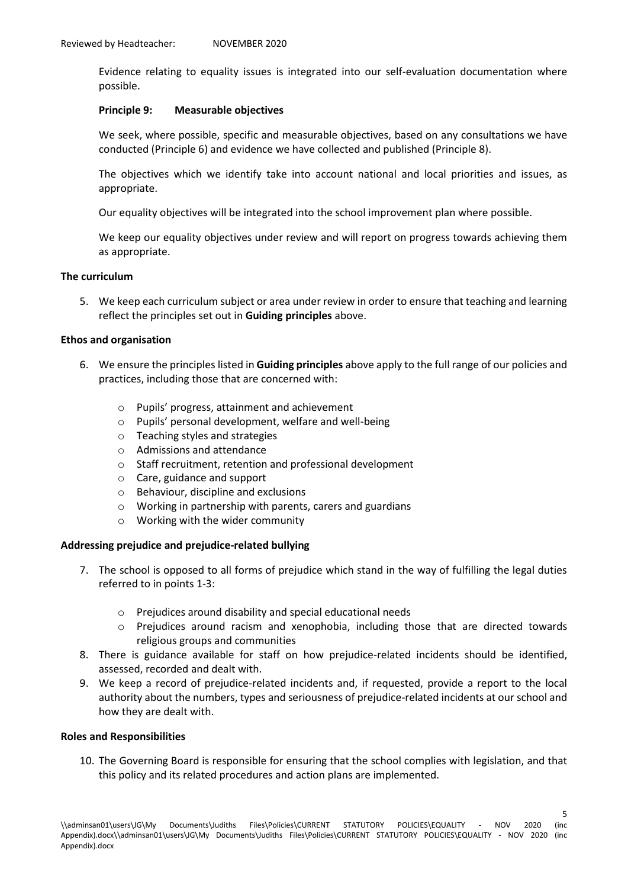Evidence relating to equality issues is integrated into our self-evaluation documentation where possible.

# **Principle 9: Measurable objectives**

We seek, where possible, specific and measurable objectives, based on any consultations we have conducted (Principle 6) and evidence we have collected and published (Principle 8).

The objectives which we identify take into account national and local priorities and issues, as appropriate.

Our equality objectives will be integrated into the school improvement plan where possible.

We keep our equality objectives under review and will report on progress towards achieving them as appropriate.

### **The curriculum**

5. We keep each curriculum subject or area under review in order to ensure that teaching and learning reflect the principles set out in **Guiding principles** above.

### **Ethos and organisation**

- 6. We ensure the principles listed in **Guiding principles** above apply to the full range of our policies and practices, including those that are concerned with:
	- o Pupils' progress, attainment and achievement
	- o Pupils' personal development, welfare and well-being
	- o Teaching styles and strategies
	- o Admissions and attendance
	- o Staff recruitment, retention and professional development
	- o Care, guidance and support
	- o Behaviour, discipline and exclusions
	- o Working in partnership with parents, carers and guardians
	- o Working with the wider community

# **Addressing prejudice and prejudice-related bullying**

- 7. The school is opposed to all forms of prejudice which stand in the way of fulfilling the legal duties referred to in points 1-3:
	- o Prejudices around disability and special educational needs
	- o Prejudices around racism and xenophobia, including those that are directed towards religious groups and communities
- 8. There is guidance available for staff on how prejudice-related incidents should be identified, assessed, recorded and dealt with.
- 9. We keep a record of prejudice-related incidents and, if requested, provide a report to the local authority about the numbers, types and seriousness of prejudice-related incidents at our school and how they are dealt with.

### **Roles and Responsibilities**

10. The Governing Board is responsible for ensuring that the school complies with legislation, and that this policy and its related procedures and action plans are implemented.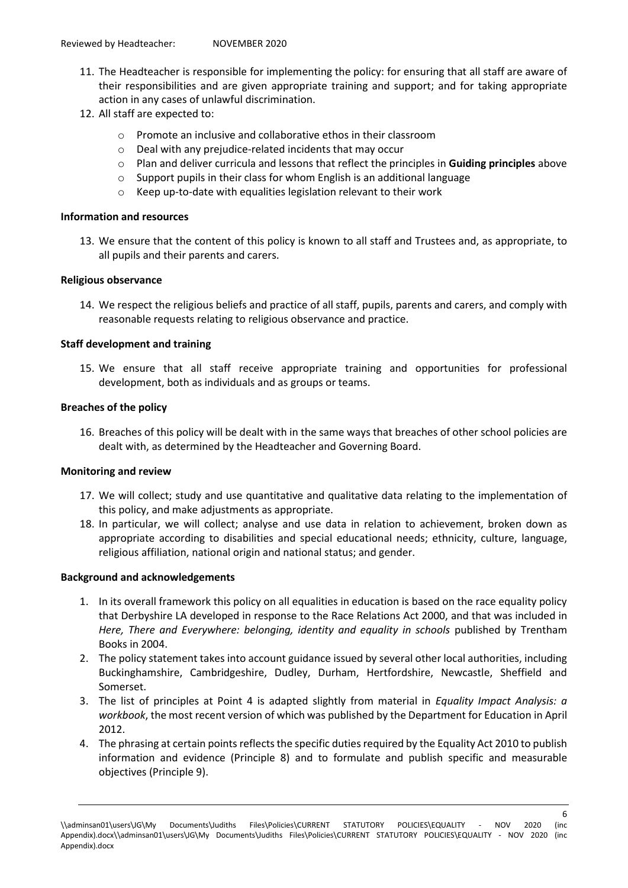- 11. The Headteacher is responsible for implementing the policy: for ensuring that all staff are aware of their responsibilities and are given appropriate training and support; and for taking appropriate action in any cases of unlawful discrimination.
- 12. All staff are expected to:
	- o Promote an inclusive and collaborative ethos in their classroom
	- o Deal with any prejudice-related incidents that may occur
	- o Plan and deliver curricula and lessons that reflect the principles in **Guiding principles** above
	- o Support pupils in their class for whom English is an additional language
	- $\circ$  Keep up-to-date with equalities legislation relevant to their work

### **Information and resources**

13. We ensure that the content of this policy is known to all staff and Trustees and, as appropriate, to all pupils and their parents and carers.

# **Religious observance**

14. We respect the religious beliefs and practice of all staff, pupils, parents and carers, and comply with reasonable requests relating to religious observance and practice.

# **Staff development and training**

15. We ensure that all staff receive appropriate training and opportunities for professional development, both as individuals and as groups or teams.

### **Breaches of the policy**

16. Breaches of this policy will be dealt with in the same ways that breaches of other school policies are dealt with, as determined by the Headteacher and Governing Board.

# **Monitoring and review**

- 17. We will collect; study and use quantitative and qualitative data relating to the implementation of this policy, and make adjustments as appropriate.
- 18. In particular, we will collect; analyse and use data in relation to achievement, broken down as appropriate according to disabilities and special educational needs; ethnicity, culture, language, religious affiliation, national origin and national status; and gender.

# **Background and acknowledgements**

- 1. In its overall framework this policy on all equalities in education is based on the race equality policy that Derbyshire LA developed in response to the Race Relations Act 2000, and that was included in *Here, There and Everywhere: belonging, identity and equality in schools* published by Trentham Books in 2004.
- 2. The policy statement takes into account guidance issued by several other local authorities, including Buckinghamshire, Cambridgeshire, Dudley, Durham, Hertfordshire, Newcastle, Sheffield and Somerset.
- 3. The list of principles at Point 4 is adapted slightly from material in *Equality Impact Analysis: a workbook*, the most recent version of which was published by the Department for Education in April 2012.
- 4. The phrasing at certain points reflects the specific duties required by the Equality Act 2010 to publish information and evidence (Principle 8) and to formulate and publish specific and measurable objectives (Principle 9).

<sup>\\</sup>adminsan01\users\JG\My Documents\Judiths Files\Policies\CURRENT STATUTORY POLICIES\EQUALITY - NOV 2020 (inc Appendix).docx\\adminsan01\users\JG\My Documents\Judiths Files\Policies\CURRENT STATUTORY POLICIES\EQUALITY - NOV 2020 (inc Appendix).docx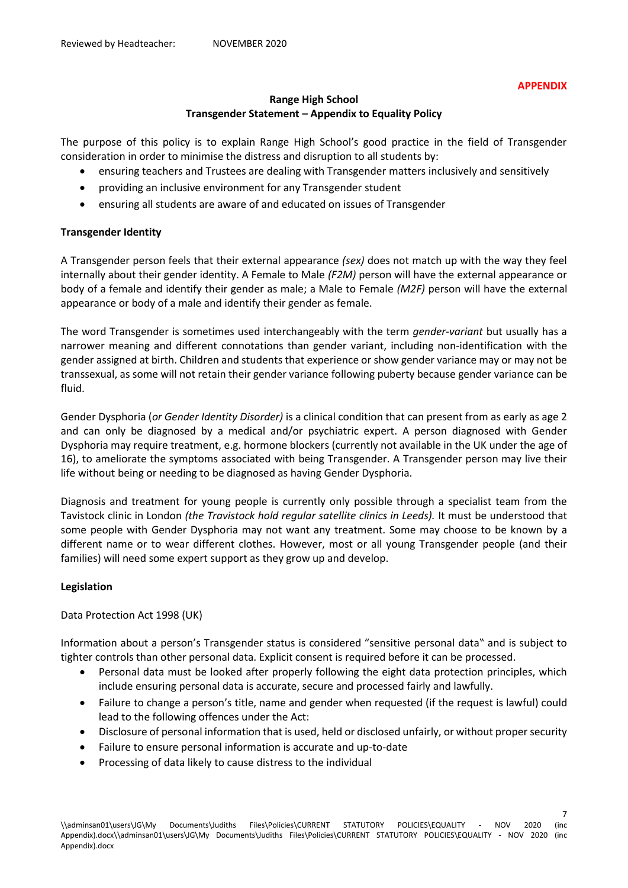### **APPENDIX**

7

# **Range High School Transgender Statement – Appendix to Equality Policy**

The purpose of this policy is to explain Range High School's good practice in the field of Transgender consideration in order to minimise the distress and disruption to all students by:

- ensuring teachers and Trustees are dealing with Transgender matters inclusively and sensitively
- providing an inclusive environment for any Transgender student
- ensuring all students are aware of and educated on issues of Transgender

# **Transgender Identity**

A Transgender person feels that their external appearance *(sex)* does not match up with the way they feel internally about their gender identity. A Female to Male *(F2M)* person will have the external appearance or body of a female and identify their gender as male; a Male to Female *(M2F)* person will have the external appearance or body of a male and identify their gender as female.

The word Transgender is sometimes used interchangeably with the term *gender-variant* but usually has a narrower meaning and different connotations than gender variant, including non-identification with the gender assigned at birth. Children and students that experience or show gender variance may or may not be transsexual, as some will not retain their gender variance following puberty because gender variance can be fluid.

Gender Dysphoria (*or Gender Identity Disorder)* is a clinical condition that can present from as early as age 2 and can only be diagnosed by a medical and/or psychiatric expert. A person diagnosed with Gender Dysphoria may require treatment, e.g. hormone blockers (currently not available in the UK under the age of 16), to ameliorate the symptoms associated with being Transgender. A Transgender person may live their life without being or needing to be diagnosed as having Gender Dysphoria.

Diagnosis and treatment for young people is currently only possible through a specialist team from the Tavistock clinic in London *(the Travistock hold regular satellite clinics in Leeds).* It must be understood that some people with Gender Dysphoria may not want any treatment. Some may choose to be known by a different name or to wear different clothes. However, most or all young Transgender people (and their families) will need some expert support as they grow up and develop.

# **Legislation**

Data Protection Act 1998 (UK)

Information about a person's Transgender status is considered "sensitive personal data" and is subject to tighter controls than other personal data. Explicit consent is required before it can be processed.

- Personal data must be looked after properly following the eight data protection principles, which include ensuring personal data is accurate, secure and processed fairly and lawfully.
- Failure to change a person's title, name and gender when requested (if the request is lawful) could lead to the following offences under the Act:
- Disclosure of personal information that is used, held or disclosed unfairly, or without proper security
- Failure to ensure personal information is accurate and up-to-date
- Processing of data likely to cause distress to the individual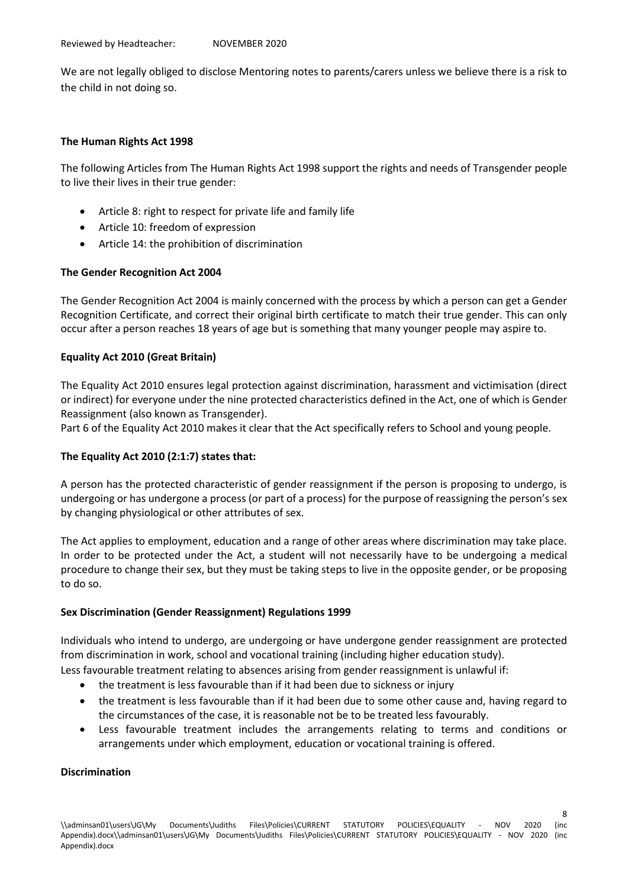Reviewed by Headteacher: NOVEMBER 2020

We are not legally obliged to disclose Mentoring notes to parents/carers unless we believe there is a risk to the child in not doing so.

# **The Human Rights Act 1998**

The following Articles from The Human Rights Act 1998 support the rights and needs of Transgender people to live their lives in their true gender:

- Article 8: right to respect for private life and family life
- Article 10: freedom of expression
- Article 14: the prohibition of discrimination

# **The Gender Recognition Act 2004**

The Gender Recognition Act 2004 is mainly concerned with the process by which a person can get a Gender Recognition Certificate, and correct their original birth certificate to match their true gender. This can only occur after a person reaches 18 years of age but is something that many younger people may aspire to.

# **Equality Act 2010 (Great Britain)**

The Equality Act 2010 ensures legal protection against discrimination, harassment and victimisation (direct or indirect) for everyone under the nine protected characteristics defined in the Act, one of which is Gender Reassignment (also known as Transgender).

Part 6 of the Equality Act 2010 makes it clear that the Act specifically refers to School and young people.

# **The Equality Act 2010 (2:1:7) states that:**

A person has the protected characteristic of gender reassignment if the person is proposing to undergo, is undergoing or has undergone a process (or part of a process) for the purpose of reassigning the person's sex by changing physiological or other attributes of sex.

The Act applies to employment, education and a range of other areas where discrimination may take place. In order to be protected under the Act, a student will not necessarily have to be undergoing a medical procedure to change their sex, but they must be taking steps to live in the opposite gender, or be proposing to do so.

# **Sex Discrimination (Gender Reassignment) Regulations 1999**

Individuals who intend to undergo, are undergoing or have undergone gender reassignment are protected from discrimination in work, school and vocational training (including higher education study).

Less favourable treatment relating to absences arising from gender reassignment is unlawful if:

- the treatment is less favourable than if it had been due to sickness or injury
- the treatment is less favourable than if it had been due to some other cause and, having regard to the circumstances of the case, it is reasonable not be to be treated less favourably.
- Less favourable treatment includes the arrangements relating to terms and conditions or arrangements under which employment, education or vocational training is offered.

# **Discrimination**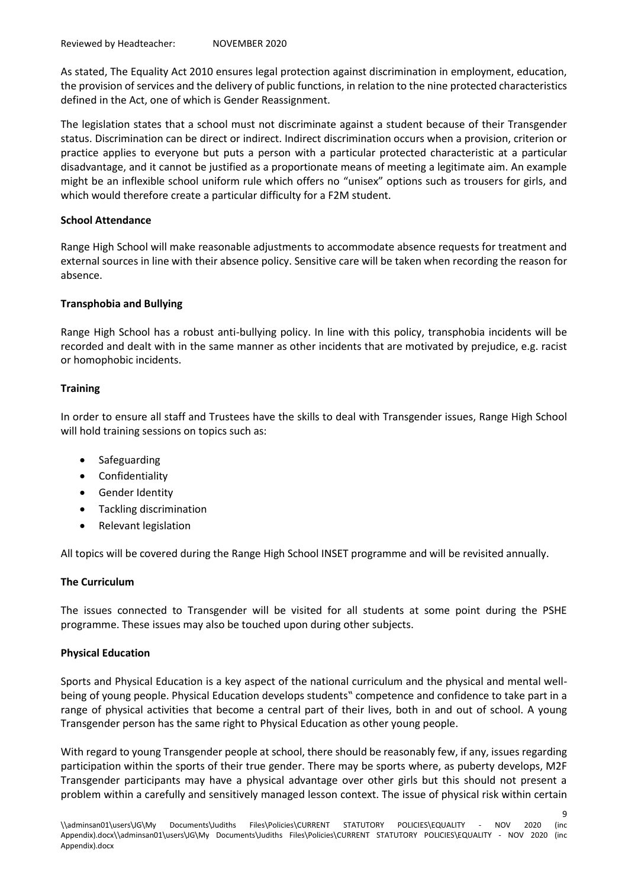Reviewed by Headteacher: NOVEMBER 2020

As stated, The Equality Act 2010 ensures legal protection against discrimination in employment, education, the provision of services and the delivery of public functions, in relation to the nine protected characteristics defined in the Act, one of which is Gender Reassignment.

The legislation states that a school must not discriminate against a student because of their Transgender status. Discrimination can be direct or indirect. Indirect discrimination occurs when a provision, criterion or practice applies to everyone but puts a person with a particular protected characteristic at a particular disadvantage, and it cannot be justified as a proportionate means of meeting a legitimate aim. An example might be an inflexible school uniform rule which offers no "unisex" options such as trousers for girls, and which would therefore create a particular difficulty for a F2M student.

# **School Attendance**

Range High School will make reasonable adjustments to accommodate absence requests for treatment and external sources in line with their absence policy. Sensitive care will be taken when recording the reason for absence.

# **Transphobia and Bullying**

Range High School has a robust anti-bullying policy. In line with this policy, transphobia incidents will be recorded and dealt with in the same manner as other incidents that are motivated by prejudice, e.g. racist or homophobic incidents.

# **Training**

In order to ensure all staff and Trustees have the skills to deal with Transgender issues, Range High School will hold training sessions on topics such as:

- Safeguarding
- Confidentiality
- Gender Identity
- Tackling discrimination
- Relevant legislation

All topics will be covered during the Range High School INSET programme and will be revisited annually.

# **The Curriculum**

The issues connected to Transgender will be visited for all students at some point during the PSHE programme. These issues may also be touched upon during other subjects.

# **Physical Education**

Sports and Physical Education is a key aspect of the national curriculum and the physical and mental wellbeing of young people. Physical Education develops students" competence and confidence to take part in a range of physical activities that become a central part of their lives, both in and out of school. A young Transgender person has the same right to Physical Education as other young people.

With regard to young Transgender people at school, there should be reasonably few, if any, issues regarding participation within the sports of their true gender. There may be sports where, as puberty develops, M2F Transgender participants may have a physical advantage over other girls but this should not present a problem within a carefully and sensitively managed lesson context. The issue of physical risk within certain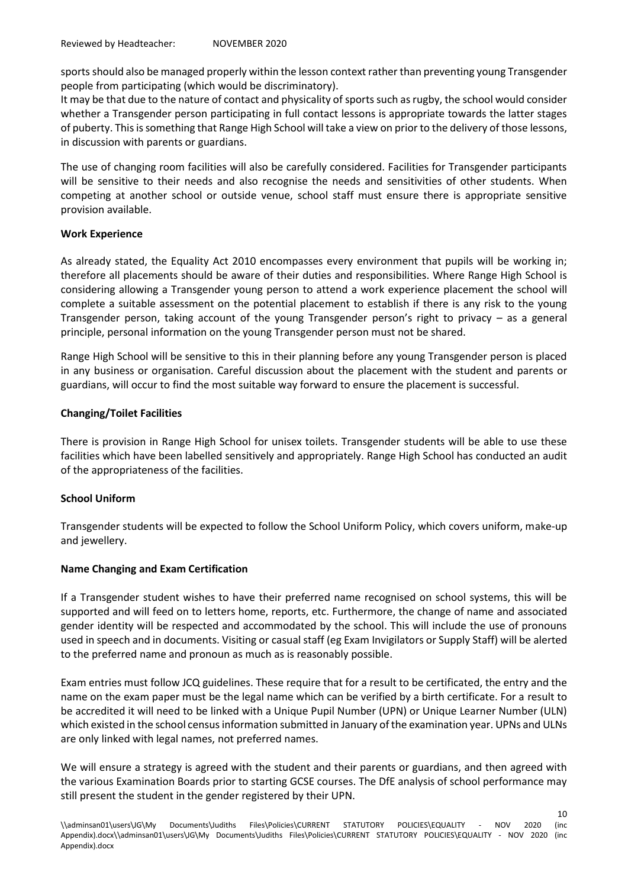sports should also be managed properly within the lesson context rather than preventing young Transgender people from participating (which would be discriminatory).

It may be that due to the nature of contact and physicality of sports such as rugby, the school would consider whether a Transgender person participating in full contact lessons is appropriate towards the latter stages of puberty. This is something that Range High School will take a view on prior to the delivery of those lessons, in discussion with parents or guardians.

The use of changing room facilities will also be carefully considered. Facilities for Transgender participants will be sensitive to their needs and also recognise the needs and sensitivities of other students. When competing at another school or outside venue, school staff must ensure there is appropriate sensitive provision available.

# **Work Experience**

As already stated, the Equality Act 2010 encompasses every environment that pupils will be working in; therefore all placements should be aware of their duties and responsibilities. Where Range High School is considering allowing a Transgender young person to attend a work experience placement the school will complete a suitable assessment on the potential placement to establish if there is any risk to the young Transgender person, taking account of the young Transgender person's right to privacy – as a general principle, personal information on the young Transgender person must not be shared.

Range High School will be sensitive to this in their planning before any young Transgender person is placed in any business or organisation. Careful discussion about the placement with the student and parents or guardians, will occur to find the most suitable way forward to ensure the placement is successful.

# **Changing/Toilet Facilities**

There is provision in Range High School for unisex toilets. Transgender students will be able to use these facilities which have been labelled sensitively and appropriately. Range High School has conducted an audit of the appropriateness of the facilities.

# **School Uniform**

Transgender students will be expected to follow the School Uniform Policy, which covers uniform, make-up and jewellery.

# **Name Changing and Exam Certification**

If a Transgender student wishes to have their preferred name recognised on school systems, this will be supported and will feed on to letters home, reports, etc. Furthermore, the change of name and associated gender identity will be respected and accommodated by the school. This will include the use of pronouns used in speech and in documents. Visiting or casual staff (eg Exam Invigilators or Supply Staff) will be alerted to the preferred name and pronoun as much as is reasonably possible.

Exam entries must follow JCQ guidelines. These require that for a result to be certificated, the entry and the name on the exam paper must be the legal name which can be verified by a birth certificate. For a result to be accredited it will need to be linked with a Unique Pupil Number (UPN) or Unique Learner Number (ULN) which existed in the school census information submitted in January of the examination year. UPNs and ULNs are only linked with legal names, not preferred names.

We will ensure a strategy is agreed with the student and their parents or guardians, and then agreed with the various Examination Boards prior to starting GCSE courses. The DfE analysis of school performance may still present the student in the gender registered by their UPN.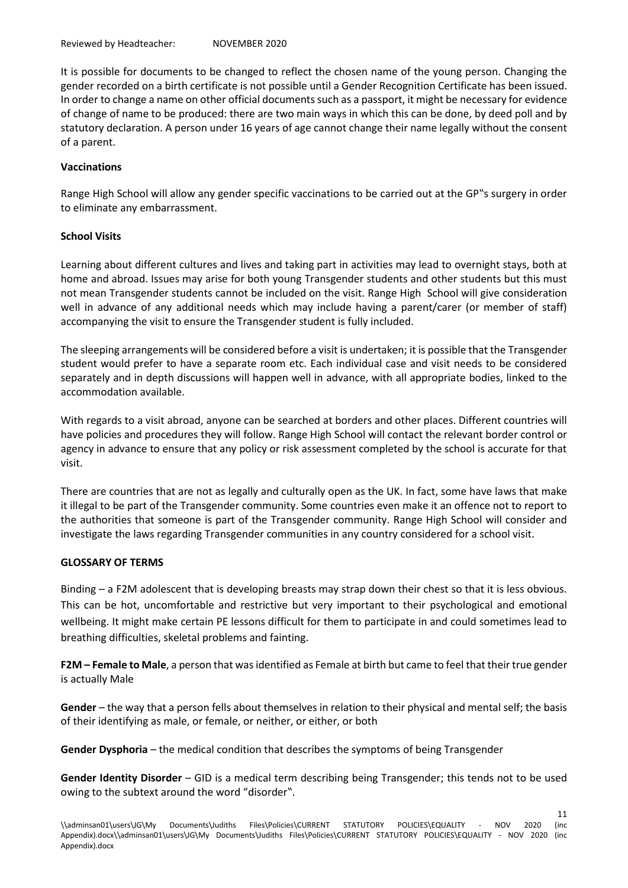Reviewed by Headteacher: NOVEMBER 2020

It is possible for documents to be changed to reflect the chosen name of the young person. Changing the gender recorded on a birth certificate is not possible until a Gender Recognition Certificate has been issued. In order to change a name on other official documents such as a passport, it might be necessary for evidence of change of name to be produced: there are two main ways in which this can be done, by deed poll and by statutory declaration. A person under 16 years of age cannot change their name legally without the consent of a parent.

# **Vaccinations**

Range High School will allow any gender specific vaccinations to be carried out at the GP"s surgery in order to eliminate any embarrassment.

# **School Visits**

Learning about different cultures and lives and taking part in activities may lead to overnight stays, both at home and abroad. Issues may arise for both young Transgender students and other students but this must not mean Transgender students cannot be included on the visit. Range High School will give consideration well in advance of any additional needs which may include having a parent/carer (or member of staff) accompanying the visit to ensure the Transgender student is fully included.

The sleeping arrangements will be considered before a visit is undertaken; it is possible that the Transgender student would prefer to have a separate room etc. Each individual case and visit needs to be considered separately and in depth discussions will happen well in advance, with all appropriate bodies, linked to the accommodation available.

With regards to a visit abroad, anyone can be searched at borders and other places. Different countries will have policies and procedures they will follow. Range High School will contact the relevant border control or agency in advance to ensure that any policy or risk assessment completed by the school is accurate for that visit.

There are countries that are not as legally and culturally open as the UK. In fact, some have laws that make it illegal to be part of the Transgender community. Some countries even make it an offence not to report to the authorities that someone is part of the Transgender community. Range High School will consider and investigate the laws regarding Transgender communities in any country considered for a school visit.

# **GLOSSARY OF TERMS**

Binding – a F2M adolescent that is developing breasts may strap down their chest so that it is less obvious. This can be hot, uncomfortable and restrictive but very important to their psychological and emotional wellbeing. It might make certain PE lessons difficult for them to participate in and could sometimes lead to breathing difficulties, skeletal problems and fainting.

**F2M – Female to Male**, a person that was identified as Female at birth but came to feel that their true gender is actually Male

**Gender** – the way that a person fells about themselves in relation to their physical and mental self; the basis of their identifying as male, or female, or neither, or either, or both

**Gender Dysphoria** – the medical condition that describes the symptoms of being Transgender

**Gender Identity Disorder** – GID is a medical term describing being Transgender; this tends not to be used owing to the subtext around the word "disorder".